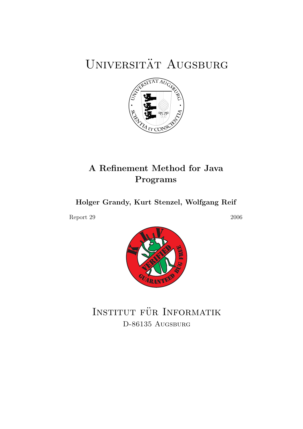# UNIVERSITÄT AUGSBURG



## A Refinement Method for Java Programs

Holger Grandy, Kurt Stenzel, Wolfgang Reif

Report 29 2006



INSTITUT FÜR INFORMATIK D-86135 AUGSBURG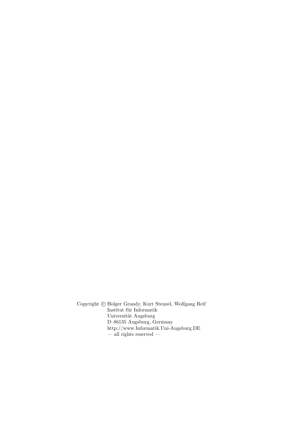Copyright  $\odot$  Holger Grandy, Kurt Stenzel, Wolfgang Reif Institut für Informatik Universität Augsburg D–86135 Augsburg, Germany http://www.Informatik.Uni-Augsburg.DE — all rights reserved —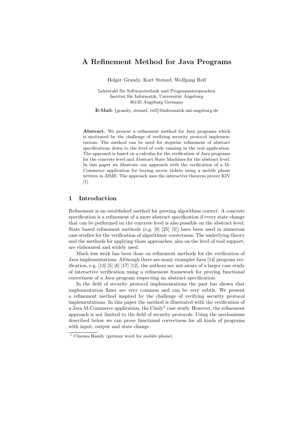### A Refinement Method for Java Programs

Holger Grandy, Kurt Stenzel, Wolfgang Reif

Lehrstuhl für Softwaretechnik und Programmiersprachen Institut für Informatik, Universität Augsburg 86135 Augsburg Germany

E-Mail: {grandy, stenzel, reif}@informatik.uni-augsburg.de

Abstract. We present a refinement method for Java programs which is motivated by the challenge of verifying security protocol implementations. The method can be used for stepwise refinement of abstract specifications down to the level of code running in the real application. The approach is based on a calculus for the verification of Java programs for the concrete level and Abstract State Machines for the abstract level. In this paper we illustrate our approach with the verification of a M-Commerce application for buying movie tickets using a mobile phone written in J2ME. The approach uses the interactive theorem prover KIV [1].

#### 1 Introduction

Refinement is an established method for proving algorithms correct. A concrete specification is a refinement of a more abstract specification if every state change that can be performed on the concrete level is also possible on the abstract level. State based refinement methods (e.g. [8] [25] [3]) have been used in numerous case studies for the verification of algorithmic correctness. The underlying theory and the methods for applying those approaches, also on the level of tool support, are elaborated and widely used.

Much less work has been done on refinement methods for the verification of Java implementations. Although there are many examples Java [14] program verification, e.g.  $\left[13\right]$   $\left[5\right]$   $\left[6\right]$   $\left[17\right]$   $\left[12\right]$ , the authors are not aware of a larger case study of interactive verification using a refinement framework for proving functional correctness of a Java program respecting an abstract specification.

In the field of security protocol implementations the past has shown that implementation flaws are very common and can be very subtle. We present a refinement method inspired by the challenge of verifying security protocol implementations. In this paper the method is illustrated with the verification of a Java M-Commerce application, the  $\mathrm{Cindy}^1$  case study. However, the refinement approach is not limited to the field of security protocols. Using the mechanisms described below we can prove functional correctness for all kinds of programs with input, output and state change.

<sup>1</sup> Cinema Handy (german word for mobile phone)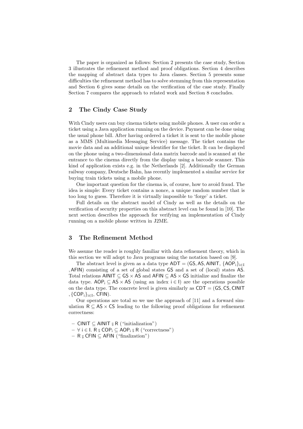The paper is organized as follows: Section 2 presents the case study, Section 3 illustrates the refinement method and proof obligations. Section 4 describes the mapping of abstract data types to Java classes. Section 5 presents some difficulties the refinement method has to solve stemming from this representation and Section 6 gives some details on the verification of the case study. Finally Section 7 compares the approach to related work and Section 8 concludes.

#### 2 The Cindy Case Study

With Cindy users can buy cinema tickets using mobile phones. A user can order a ticket using a Java application running on the device. Payment can be done using the usual phone bill. After having ordered a ticket it is sent to the mobile phone as a MMS (Multimedia Messaging Service) message. The ticket contains the movie data and an additional unique identifier for the ticket. It can be displayed on the phone using a two-dimensional data matrix barcode and is scanned at the entrance to the cinema directly from the display using a barcode scanner. This kind of application exists e.g. in the Netherlands [2]. Additionally the German railway company, Deutsche Bahn, has recently implemented a similar service for buying train tickets using a mobile phone.

One important question for the cinema is, of course, how to avoid fraud. The idea is simple: Every ticket contains a nonce, a unique random number that is too long to guess. Therefore it is virtually impossible to 'forge' a ticket.

Full details on the abstract model of Cindy as well as the details on the verification of security properties on this abstract level can be found in [10]. The next section describes the approach for verifying an implementation of Cindy running on a mobile phone written in J2ME.

#### 3 The Refinement Method

We assume the reader is roughly familiar with data refinement theory, which in this section we will adopt to Java programs using the notation based on [9].

The abstract level is given as a data type  $ADT = (GS, AS, AINIT, \{AOP_i\}_{i\in I})$ ,AFIN) consisting of a set of global states GS and a set of (local) states AS. Total relations AINIT  $\subseteq$  GS  $\times$  AS and AFIN  $\subseteq$  AS  $\times$  GS initialize and finalize the data type. AOP<sub>i</sub>  $\subset$  AS  $\times$  AS (using an index  $i \in I$ ) are the operations possible on the data type. The concrete level is given similarly as  $CDT = (GS, CS, CINT$  $,$  {COP $_{i}$ } $_{i\in I}$ , CFIN).

Our operations are total so we use the approach of [11] and a forward simulation  $R \subseteq AS \times CS$  leading to the following proof obligations for refinement correctness:

- $-$  CINIT  $\subseteq$  AINIT  $\frac{1}{9}$  R ("initialization")
- $-$  ∀ i ∈ I. R  $_{9}$  COP<sub>i</sub>  $\subseteq$  AOP<sub>i</sub>  $_{9}$  R ("correctness")
- $-$  R  $\frac{\circ}{9}$  CFIN  $\subseteq$  AFIN ("finalization")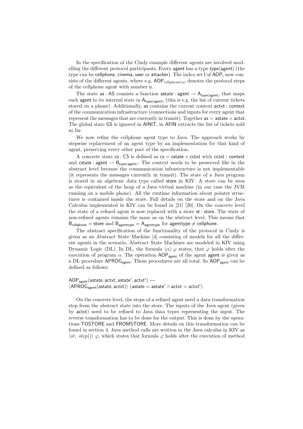In the specification of the Cindy example different agents are involved modelling the different protocol participants. Every agent has a type type(agent) (the type can be cellphone, cinema, user or attacker). The index set I of AOP<sub>i</sub> now consists of the different agents, where e.g.  $AOP_{\text{cellphone}(n)}$  denotes the protocol steps of the cellphone agent with number n.

The state as : AS consists a function astate : agent  $\rightarrow$  A<sub>type(agent)</sub> that maps each agent to its internal state in  $A_{type(agent)}$  (this is e.g. the list of current tickets stored on a phone). Additionally, as contains the current context actxt : context of the communication infrastructure (connections and inputs for every agent that represent the messages that are currently in transit). Together  $as = astate \times actxt$ . The global state GS is ignored in AINIT, in AFIN extracts the list of tickets sold so far.

We now refine the cellphone agent type to Java. The approach works by stepwise replacement of an agent type by an implementation for that kind of agent, preserving every other part of the specification.

A concrete state  $cs : CS$  is defined as  $cs = cstate \times cctxt$  with  $cctxt : context$ and cstate : agent  $\rightarrow$  B<sub>type(agent)</sub>. The context needs to be preserved like in the abstract level because the communication infrastructure is not implementable (it represents the messages currently in transit). The state of a Java program is stored in an algebraic data type called store in KIV. A store can be seen as the equivalent of the heap of a Java virtual machine (in our case the JVM running on a mobile phone). All the runtime information about pointer structures is contained inside the store. Full details on the store and on the Java Calculus implemented in KIV can be found in [21] [20]. On the concrete level the state of a refined agent is now replaced with a store  $st$ : store. The state of non-refined agents remains the same as on the abstract level. This means that  $B_{\text{cellphone}} =$  store and  $B_{\text{agenttype}} = A_{\text{agenttype}}$  for agenttype  $\neq$  cellphone.

The abstract specification of the functionality of the protocol in Cindy is given as an Abstract State Machine [4] consisting of models for all the different agents in the scenario. Abstract State Machines are modeled in KIV using Dynamic Logic (DL). In DL, the formula  $\langle \alpha \rangle \varphi$  states, that  $\varphi$  holds after the execution of program  $\alpha$ . The operation AOP<sub>agent</sub> of the agent agent is given as a DL procedure APROG<sub>agent</sub>. Those procedures are all total. So AOP<sub>agent</sub> can be defined as follows:

 $\mathsf{AOP}_\mathsf{agent}(\mathsf{astate}, \mathsf{actxt}, \mathsf{astate}', \mathsf{actxt}') \leftrightarrow$  $\langle {\sf APROG}_{\sf agent}({\sf astate},{\sf actxt}) \rangle$  (astate = astate'  $\land$  actxt = actxt')

On the concrete level, the steps of a refined agent need a data transformation step from the abstract state into the store. The inputs of the Java agent (given by actxt) need to be refined to Java data types representing the input. The reverse transformation has to be done for the output. This is done by the operations TOSTORE and FROMSTORE. More details on this transformation can be found in section 4. Java method calls are written in the Java calculus in KIV as  $\langle st; \, step() \rangle \varphi$ , which states that formula  $\varphi$  holds after the execution of method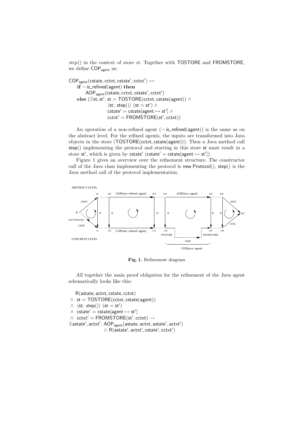$step()$  in the context of store st. Together with TOSTORE and FROMSTORE, we define COP<sub>agent</sub> as:

 $\mathsf{COP}_{\mathsf{agent}}(\mathsf{cstate}, \mathsf{cctxt}, \mathsf{cstate}', \mathsf{cctx't}') \leftrightarrow$  $if \neg$  is\_refined(agent) then AOP<sub>agent</sub> (cstate, cctxt, cstate', cctxt')  $else ( \exists st, st'. st = TOSTORE(cctxt, cstate(agent)) \wedge )$  $\langle st; step() \rangle$  (st = st')  $\land$  $\textsf{cstate}' = \textsf{cstate}[\textsf{agent} \mapsto \textsf{st}'] \land$ cctxt′ = FROMSTORE(st′ , cctxt))

An operation of a non-refined agent  $(\neg$  is\_refined(agent)) is the same as on the abstract level. For the refined agents, the inputs are transformed into Java objects in the store (TOSTORE(cctxt, cstate(agent))). Then a Java method call step() implementing the protocol and starting in this store st must result in a store st', which is given by cstate' (cstate' = cstate[agent  $\mapsto$  st']).

Figure 1 gives an overview over the refinement structure. The constructor call of the Java class implementing the protocol is new Protocol(), step() is the Java method call of the protocol implementation.



Fig. 1. Refinement diagram

All together the main proof obligation for the refinement of the Java agent schematically looks like this:

R(astate, actxt, cstate, cctxt)  $\wedge$  st = TOSTORE(cctxt, cstate(agent))  $\wedge \langle \mathsf{st}; \, \mathsf{step}() \rangle \; (\mathsf{st} = \mathsf{st}')$  $\wedge$  cstate<sup> $\prime$ </sup> = cstate[agent  $\mapsto$  st<sup>'</sup>]  $\wedge$  cctxt' = FROMSTORE(st', cctxt)  $\rightarrow$  $\exists$  astate $',$  actxt $'.$   $\mathsf{AOP}_{\mathsf{agent}}($  astate, actxt, astate $',$  actxt $')$  $\land$  R(astate', actxt', cstate', cctxt')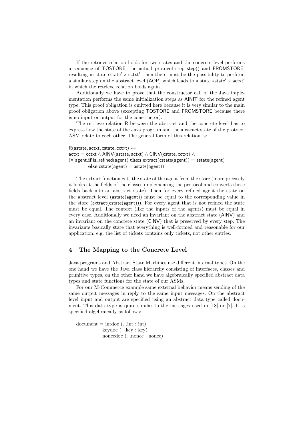If the retrieve relation holds for two states and the concrete level performs a sequence of TOSTORE, the actual protocol step step() and FROMSTORE, resulting in state cstate'  $\times$  cctxt', then there must be the possibility to perform a similar step on the abstract level (AOP) which leads to a state astate'  $\times$  actxt' in which the retrieve relation holds again.

Additionally we have to prove that the constructor call of the Java implementation performs the same initialization steps as AINIT for the refined agent type. This proof obligation is omitted here because it is very similar to the main proof obligation above (excepting TOSTORE and FROMSTORE because there is no input or output for the constructor).

The retrieve relation R between the abstract and the concrete level has to express how the state of the Java program and the abstract state of the protocol ASM relate to each other. The general form of this relation is:

```
R(astate, actxt, cstate, cctxt) \leftrightarrow\text{actxt} = \text{cctxt} \wedge \text{AINV}(\text{astate}, \text{actxt}) \wedge \text{CINV}(\text{cstate}, \text{cctxt}) \wedge(\forall \text{ agent.if } is_refined(agent) then extract(cstate(agent)) = astate(agent)
             else cstate(agent) = astate(agent))
```
The extract function gets the state of the agent from the store (more precisely it looks at the fields of the classes implementing the protocol and converts those fields back into an abstract state). Then for every refined agent the state on the abstract level (astate(agent)) must be equal to the corresponding value in the store  $(\text{extract}(\text{cstate}(\text{agent})))$ . For every agent that is not refined the state must be equal. The context (like the inputs of the agents) must be equal in every case. Additionally we need an invariant on the abstract state (AINV) and an invariant on the concrete state (CINV) that is preserved by every step. The invariants basically state that everything is well-formed and reasonable for our application, e.g. the list of tickets contains only tickets, not other entries.

#### 4 The Mapping to the Concrete Level

Java programs and Abstract State Machines use different internal types. On the one hand we have the Java class hierarchy consisting of interfaces, classes and primitive types, on the other hand we have algebraically specified abstract data types and state functions for the state of our ASMs.

For our M-Commerce example same external behavior means sending of the same output messages in reply to the same input messages. On the abstract level input and output are specified using an abstract data type called document. This data type is quite similar to the messages used in [18] or [7]. It is specified algebraically as follows:

 $document = \text{intdoc}($ . .int : int) | keydoc (. .key : key) | noncedoc (. .nonce : nonce)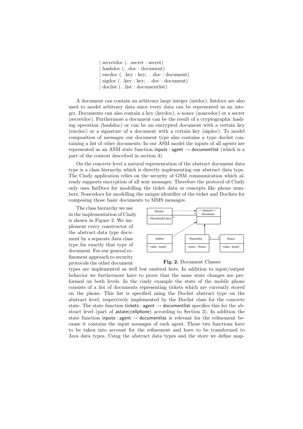secretdoc (. .secret : secret) hashdoc (. .doc : document) encdoc (. .key : key; . .doc : document) | sigdoc (. .key : key; . .doc : document) | doclist (. .list : documentlist)

A document can contain an arbitrary large integer (intdoc). Intdocs are also used to model arbitrary data since every data can be represented as an integer. Documents can also contain a key (keydoc), a nonce (noncedoc) or a secret (secretdoc). Furthermore a document can be the result of a cryptographic hashing operation (hashdoc) or can be an encrypted document with a certain key (encdoc) or a signature of a document with a certain key (sigdoc). To model composition of messages our document type also contains a type doclist containing a list of other documents. In our ASM model the inputs of all agents are represented as an ASM state function inputs : agent  $\rightarrow$  documentlist (which is a part of the context described in section 3).

On the concrete level a natural representation of the abstract document data type is a class hierarchy which is directly implementing our abstract data type. The Cindy application relies on the security of GSM communication which already supports encryption of all sent messages. Therefore the protocol of Cindy only uses IntDocs for modelling the ticket data or concepts like phone numbers, Noncedocs for modelling the unique identifier of the ticket and Doclists for composing those basic documents to MMS messages.

The class hierarchy we use in the implementation of Cindy is shown in Figure 2. We implement every constructor of the abstract data type document by a separate Java class type for exactly that type of document. For our general refinement approach to security protocols the other document





types are implemented as well but omitted here. In addition to input/output behavior we furthermore have to prove that the same state changes are performed on both levels. In the cindy example the state of the mobile phone consists of a list of documents representing tickets which are currently stored on the phone. This list is specified using the Doclist abstract type on the abstract level, respectively implemented by the Doclist class for the concrete state. The state function tickets : agent  $\rightarrow$  documentlist specifies this for the abstract level (part of astate(cellphone) according to Section 3). In addition the state function inputs : agent  $\rightarrow$  documentlist is relevant for the refinement because it contains the input messages of each agent. Those two functions have to be taken into account for the refinement and have to be transformed to Java data types. Using the abstract data types and the store we define map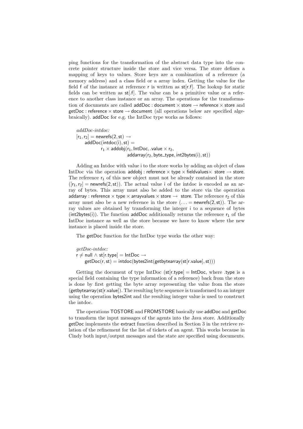ping functions for the transformation of the abstract data type into the concrete pointer structure inside the store and vice versa. The store defines a mapping of keys to values. Store keys are a combination of a reference (a memory address) and a class field or a array index. Getting the value for the field f of the instance at reference r is written as  $st[r.f]$ . The lookup for static fields can be written as st[.f]. The value can be a primitive value or a reference to another class instance or an array. The operations for the transformation of documents are called  $addDoc : document \times store \rightarrow reference \times store$  and  $getDoc: reference \times store \rightarrow document$  (all operations below are specified algebraically). addDoc for e.g. the IntDoc type works as follows:

addDoc-intdoc:  $[r_1, r_2]$  = newrefs(2, st)  $\rightarrow$  $addDoc(intdoc(i), st) =$  $r_1 \times$  addobj $(r_1, \text{IntDoc}, \text{value} \times r_2,$  $addarray(r<sub>2</sub>, byte_type, int2bytes(i), st))$ 

Adding an Intdoc with value i to the store works by adding an object of class IntDoc via the operation addobj : reference  $\times$  type  $\times$  fieldvalues $\times$  store  $\rightarrow$  store. The reference  $r_1$  of this new object must not be already contained in the store  $([r_1,r_2] =$  newrefs $(2,st)$ ). The actual value i of the intdoc is encoded as an array of bytes. This array must also be added to the store via the operation addarray : reference  $\times$  type  $\times$  arrayvalues  $\times$  store  $\rightarrow$  store. The reference  $r_2$  of this array must also be a new reference in the store  $(\ldots$  = newrefs(2, st)). The array values are obtained by transforming the integer i to a sequence of bytes (int2bytes(i)). The function addDoc additionally returns the reference  $r_1$  of the IntDoc instance as well as the store because we have to know where the new instance is placed inside the store.

The getDoc function for the IntDoc type works the other way:

getDoc-intdoc:  $r \neq \text{null} \wedge \text{st}[r.\text{type}] = \text{IntDoc} \rightarrow$  $getDoc(r, st) = intoc(bytes2int(getbytearray(st[r.value], st)))$ 

Getting the document of type IntDoc  $(st[r.type] = IntDoc$ , where type is a special field containing the type information of a reference) back from the store is done by first getting the byte array representing the value from the store  $(getbytearray(st[r.value])$ . The resulting byte sequence is transformed to an integer using the operation bytes2int and the resulting integer value is used to construct the intdoc.

The operations TOSTORE and FROMSTORE basically use addDoc and getDoc to transform the input messages of the agents into the Java store. Additionally getDoc implements the extract function described in Section 3 in the retrieve relation of the refinement for the list of tickets of an agent. This works because in Cindy both input/output messages and the state are specified using documents.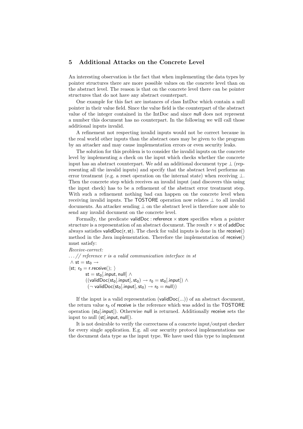#### 5 Additional Attacks on the Concrete Level

An interesting observation is the fact that when implementing the data types by pointer structures there are more possible values on the concrete level than on the abstract level. The reason is that on the concrete level there can be pointer structures that do not have any abstract counterpart.

One example for this fact are instances of class IntDoc which contain a null pointer in their value field. Since the value field is the counterpart of the abstract value of the integer contained in the IntDoc and since null does not represent a number this document has no counterpart. In the following we will call those additional inputs invalid.

A refinement not respecting invalid inputs would not be correct because in the real world other inputs than the abstract ones may be given to the program by an attacker and may cause implementation errors or even security leaks.

The solution for this problem is to consider the invalid inputs on the concrete level by implementing a check on the input which checks whether the concrete input has an abstract counterpart. We add an additional document type  $\perp$  (representing all the invalid inputs) and specify that the abstract level performs an error treatment (e.g. a reset operation on the internal state) when receiving  $\bot$ . Then the concrete step which receives an invalid input (and discovers this using the input check) has to be a refinement of the abstract error treatment step. With such a refinement nothing bad can happen on the concrete level when receiving invalid inputs. The TOSTORE operation now relates  $\perp$  to all invalid documents. An attacker sending ⊥ on the abstract level is therefore now able to send any invalid document on the concrete level.

Formally, the predicate validDoc : reference  $\times$  store specifies when a pointer structure is a representation of an abstract document. The result  $r \times st$  of addDoc always satisfies valid $Doc(r, st)$ . The check for valid inputs is done in the receive() method in the Java implementation. Therefore the implementation of receive() must satisfy:

Receive-correct:  $\ldots$  // reference r is a valid communication interface in st  $\wedge$  st = st<sub>0</sub>  $\rightarrow$  $\langle st; r_0 = r\text{.receive}(); \rangle$ st = st<sub>0</sub>[.input, null]  $\wedge$  $((\mathsf{validDoc}(\mathsf{st}_0[\mathsf{.input}],\mathsf{st}_0) \rightarrow \mathsf{r}_0 = \mathsf{st}_0[\mathsf{.input}]) \, \wedge$  $(\neg$  validDoc(st<sub>0</sub>[.input], st<sub>0</sub>)  $\rightarrow$  r<sub>0</sub> = null))

If the input is a valid representation  $(v_{\text{al}} d\text{Doc}(\ldots))$  of an abstract document, the return value  $r_0$  of receive is the reference which was added in the TOSTORE operation  $(st_0[.input])$ . Otherwise null is returned. Additionally receive sets the input to null (st[.input, null]).

It is not desirable to verify the correctness of a concrete input/output checker for every single application. E.g. all our security protocol implementations use the document data type as the input type. We have used this type to implement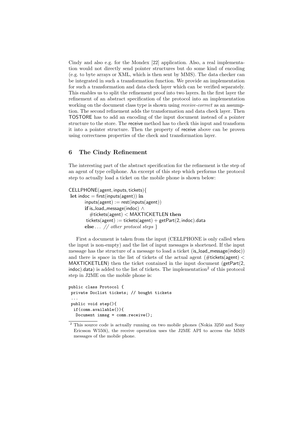Cindy and also e.g. for the Mondex [22] application. Also, a real implementation would not directly send pointer structures but do some kind of encoding (e.g. to byte arrays or XML, which is then sent by MMS). The data checker can be integrated in such a transformation function. We provide an implementation for such a transformation and data check layer which can be verified separately. This enables us to split the refinement proof into two layers. In the first layer the refinement of an abstract specification of the protocol into an implementation working on the document class type is shown using *receive-correct* as an assumption. The second refinement adds the transformation and data check layer. Then TOSTORE has to add an encoding of the input document instead of a pointer structure to the store. The receive method has to check this input and transform it into a pointer structure. Then the property of receive above can be proven using correctness properties of the check and transformation layer.

#### 6 The Cindy Refinement

The interesting part of the abstract specification for the refinement is the step of an agent of type cellphone. An excerpt of this step which performs the protocol step to actually load a ticket on the mobile phone is shown below:

```
CELLPHONE(agent, inputs, tickets){
let indoc = first(inputs(agent)) in
       inputs(agent) := rest(inputs(agent))if is_load_message(indoc) ∧
         \#tickets(agent) < MAXTICKETLEN then
       tickets(agent) := tickets(agent) + getPart(2, indoc).dataelse \ldots // other protocol steps }
```
First a document is taken from the input (CELLPHONE is only called when the input is non-empty) and the list of input messages is shortened. If the input message has the structure of a message to load a ticket (is load message(indoc)) and there is space in the list of tickets of the actual agent ( $\#$ tickets(agent) < MAXTICKETLEN) then the ticket contained in the input document (getPart(2,  $indoc$ ).data) is added to the list of tickets. The implementation<sup>2</sup> of this protocol step in J2ME on the mobile phone is:

```
public class Protocol {
private Doclist tickets; // bought tickets
...
public void step(){
 if(comm.available()){
  Document inmsg = comm. receive();
```
 $2$  This source code is actually running on two mobile phones (Nokia 3250 and Sony Ericsson W550i), the receive operation uses the J2ME API to access the MMS messages of the mobile phone.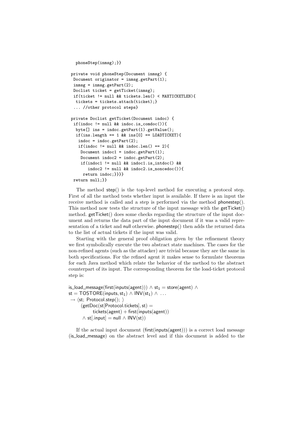```
phoneStep(inmsg);}}
private void phoneStep(Document inmsg) {
Document originator = inmsg.getPart(1);
inmsg = inmsg.getPart(2);
Doclist ticket = getTicket(inmsg);
if(ticket != null && tickets.len() < MAXTICKETLEN){
  tickets = tickets.attach(ticket);}
 ... //other protocol steps}
private Doclist getTicket(Document indoc) {
 if(indoc != null && indoc.is_comdoc()){
  byte[] ins = indoc.getPart(1).getValue();
  if(ins.length == 1 \& ins[0] == LOADTICKET){
  indoc = indoc.getPart(2);
   if(indoc != null k\& indoc.len() == 2){
   Document indoc1 = indoc.getPart(1);
   Document indoc2 = indoc.getPart(2);
    if(indoc1 != null && indoc1.is_intdoc() &&
       indoc2 != null && indoc2.is_noncedoc()){
     return indoc;}}}}
return null;}}
```
The method step() is the top-level method for executing a protocol step. First of all the method tests whether input is available. If there is an input the receive method is called and a step is performed via the method phonestep(). This method now tests the structure of the input message with the getTicket() method. getTicket() does some checks regarding the structure of the input document and returns the data part of the input document if it was a valid representation of a ticket and null otherwise. phonestep() then adds the returned data to the list of actual tickets if the input was valid.

Starting with the general proof obligation given by the refinement theory we first symbolically execute the two abstract state machines. The cases for the non-refined agents (such as the attacker) are trivial because they are the same in both specifications. For the refined agent it makes sense to formulate theorems for each Java method which relate the behavior of the method to the abstract counterpart of its input. The corresponding theorem for the load-ticket protocol step is:

```
is_load_message(first(inputs(agent))) \wedge st<sub>1</sub> = store(agent) \wedgest = TOSTORE(inputs, st<sub>1</sub>) \wedge INV(st<sub>1</sub>) \wedge ...\rightarrow \langlest; Protocol.step(); \rangle(getDoc(st[Protocol.tickets], st) =tickets(agent) + first(inputs(agent))\wedge st[.input] = null \wedge INV(st))
```
If the actual input document (first(inputs(agent))) is a correct load message (is load message) on the abstract level and if this document is added to the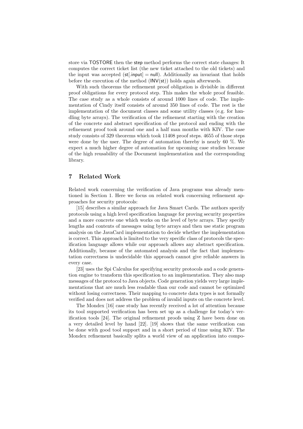store via TOSTORE then the step method performs the correct state changes: It computes the correct ticket list (the new ticket attached to the old tickets) and the input was accepted  $(st[.input] = null)$ . Additionally an invariant that holds before the execution of the method  $\text{(INV(st))}$  holds again afterwards.

With such theorems the refinement proof obligation is divisible in different proof obligations for every protocol step. This makes the whole proof feasible. The case study as a whole consists of around 1000 lines of code. The implementation of Cindy itself consists of around 350 lines of code. The rest is the implementation of the document classes and some utility classes (e.g. for handling byte arrays). The verification of the refinement starting with the creation of the concrete and abstract specification of the protocol and ending with the refinement proof took around one and a half man months with KIV. The case study consists of 329 theorems which took 11408 proof steps. 4655 of those steps were done by the user. The degree of automation thereby is nearly 60 %. We expect a much higher degree of automation for upcoming case studies because of the high reusability of the Document implementation and the corresponding library.

#### 7 Related Work

Related work concerning the verification of Java programs was already mentioned in Section 1. Here we focus on related work concerning refinement approaches for security protocols:

[15] describes a similar approach for Java Smart Cards. The authors specify protocols using a high level specification language for proving security properties and a more concrete one which works on the level of byte arrays. They specify lengths and contents of messages using byte arrays and then use static program analysis on the JavaCard implementation to decide whether the implementation is correct. This approach is limited to the very specific class of protocols the specification language allows while our approach allows any abstract specification. Additionally, because of the automated analysis and the fact that implementation correctness is undecidable this approach cannot give reliable answers in every case.

[23] uses the Spi Calculus for specifying security protocols and a code generation engine to transform this specification to an implementation. They also map messages of the protocol to Java objects. Code generation yields very large implementations that are much less readable than our code and cannot be optimized without losing correctness. Their mapping to concrete data types is not formally verified and does not address the problem of invalid inputs on the concrete level.

The Mondex [16] case study has recently received a lot of attention because its tool supported verification has been set up as a challenge for today's verification tools [24]. The original refinement proofs using Z have been done on a very detailed level by hand [22]. [19] shows that the same verification can be done with good tool support and in a short period of time using KIV. The Mondex refinement basically splits a world view of an application into compo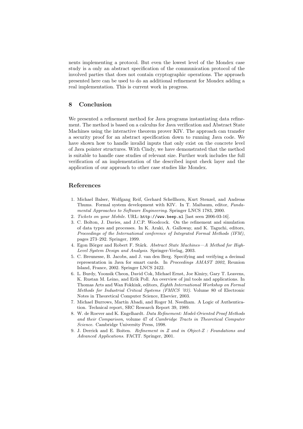nents implementing a protocol. But even the lowest level of the Mondex case study is a only an abstract specification of the communication protocol of the involved parties that does not contain cryptographic operations. The approach presented here can be used to do an additional refinement for Mondex adding a real implementation. This is current work in progress.

#### 8 Conclusion

We presented a refinement method for Java programs instantiating data refinement. The method is based on a calculus for Java verification and Abstract State Machines using the interactive theorem prover KIV. The approach can transfer a security proof for an abstract specification down to running Java code. We have shown how to handle invalid inputs that only exist on the concrete level of Java pointer structures. With Cindy, we have demonstrated that the method is suitable to handle case studies of relevant size. Further work includes the full verification of an implementation of the described input check layer and the application of our approach to other case studies like Mondex.

#### References

- 1. Michael Balser, Wolfgang Reif, Gerhard Schellhorn, Kurt Stenzel, and Andreas Thums. Formal system development with KIV. In T. Maibaum, editor, Fundamental Approaches to Software Engineering. Springer LNCS 1783, 2000.
- 2. Tickets on your Mobile. URL: http://www.beep.nl [last seen 2006-03-16].
- 3. C. Bolton, J. Davies, and J.C.P. Woodcock. On the refinement and simulation of data types and processes. In K. Araki, A. Galloway, and K. Taguchi, editors, Proceedings of the International conference of Integrated Formal Methods (IFM), pages 273–292. Springer, 1999.
- 4. Egon Börger and Robert F. Stärk. Abstract State Machines—A Method for High-Level System Design and Analysis. Springer-Verlag, 2003.
- 5. C. Breunesse, B. Jacobs, and J. van den Berg. Specifying and verifying a decimal representation in Java for smart cards. In Proceedings AMAST 2002, Reunion Island, France, 2002. Springer LNCS 2422.
- 6. L. Burdy, Yoonsik Cheon, David Cok, Michael Ernst, Joe Kiniry, Gary T. Leavens, K. Rustan M. Leino, and Erik Poll. An overview of jml tools and applications. In Thomas Arts and Wan Fokkink, editors, Eighth International Workshop on Formal Methods for Industrial Critical Systems (FMICS '03). Volume 80 of Electronic Notes in Theoretical Computer Science, Elsevier, 2003.
- 7. Michael Burrows, Martín Abadi, and Roger M. Needham. A Logic of Authentication. Technical report, SRC Research Report 39, 1989.
- 8. W. de Roever and K. Engelhardt. Data Refinement: Model-Oriented Proof Methods and their Comparison, volume 47 of Cambridge Tracts in Theoretical Computer Science. Cambridge University Press, 1998.
- 9. J. Derrick and E. Boiten. Refinement in Z and in Object-Z : Foundations and Advanced Applications. FACIT. Springer, 2001.